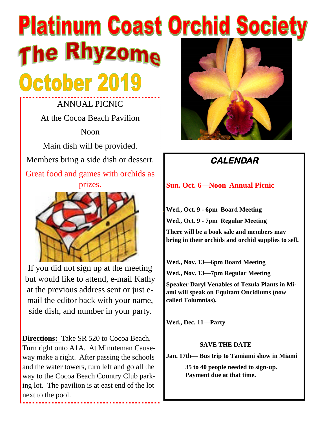# **Platinum Coast Orchid Society** The Rhyzome October 2019

ANNUAL PICNIC At the Cocoa Beach Pavilion Noon Main dish will be provided. Members bring a side dish or dessert. Great food and games with orchids as prizes.



If you did not sign up at the meeting but would like to attend, e-mail Kathy at the previous address sent or just email the editor back with your name, side dish, and number in your party.

**Directions:** Take SR 520 to Cocoa Beach. Turn right onto A1A. At Minuteman Causeway make a right. After passing the schools and the water towers, turn left and go all the way to the Cocoa Beach Country Club parking lot. The pavilion is at east end of the lot next to the pool.

.........................



# **CALENDAR**

#### **Sun. Oct. 6—Noon Annual Picnic**

**Wed., Oct. 9 - 6pm Board Meeting Wed., Oct. 9 - 7pm Regular Meeting There will be a book sale and members may bring in their orchids and orchid supplies to sell.**

**Wed., Nov. 13—6pm Board Meeting Wed., Nov. 13—7pm Regular Meeting**

**Speaker Daryl Venables of Tezula Plants in Miami will speak on Equitant Oncidiums (now called Tolumnias).**

**Wed., Dec. 11—Party**

#### **SAVE THE DATE**

**Jan. 17th— Bus trip to Tamiami show in Miami**

**35 to 40 people needed to sign-up. Payment due at that time.**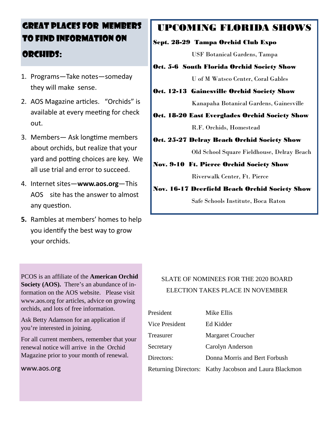# GREAT PLACES FOR MEMBERS TO FIND INFORMATION ON ORCHIDS:

- 1. Programs—Take notes—someday they will make sense.
- 2. AOS Magazine articles. "Orchids" is available at every meeting for check out.
- 3. Members Ask longtime members about orchids, but realize that your yard and potting choices are key. We all use trial and error to succeed.
- 4. Internet sites—**www.aos.org**—This AOS site has the answer to almost any question.
- **5.** Rambles at members' homes to help you identify the best way to grow your orchids.

PCOS is an affiliate of the **American Orchid Society (AOS).** There's an abundance of information on the AOS website. Please visit www.aos.org for articles, advice on growing orchids, and lots of free information.

Ask Betty Adamson for an application if you're interested in joining.

For all current members, remember that your renewal notice will arrive in the Orchid Magazine prior to your month of renewal.

#### www.aos.org

# UPCOMING FLORIDA SHOWS

#### Sept. 28-29 Tampa Orchid Club Expo

USF Botanical Gardens, Tampa

- Oct. 5-6 South Florida Orchid Society Show U of M Watsco Center, Coral Gables
- Oct. 12-13 Gainesville Orchid Society Show Kanapaha Botanical Gardens, Gainesville

Oct. 18-20 East Everglades Orchid Society Show

R.F. Orchids, Homestead

Oct. 25-27 Delray Beach Orchid Society Show

Old School Square Fieldhouse, Delray Beach

Nov. 9-10 Ft. Pierce Orchid Society Show

Riverwalk Center, Ft. Pierce

Nov. 16-17 Deerfield Beach Orchid Society Show Safe Schools Institute, Boca Raton

#### SLATE OF NOMINEES FOR THE 2020 BOARD ELECTION TAKES PLACE IN NOVEMBER

| President             | Mike Ellis                                             |
|-----------------------|--------------------------------------------------------|
| <b>Vice President</b> | Ed Kidder                                              |
| Treasurer             | <b>Margaret Croucher</b>                               |
| Secretary             | Carolyn Anderson                                       |
| Directors:            | Donna Morris and Bert Forbush                          |
|                       | Returning Directors: Kathy Jacobson and Laura Blackmon |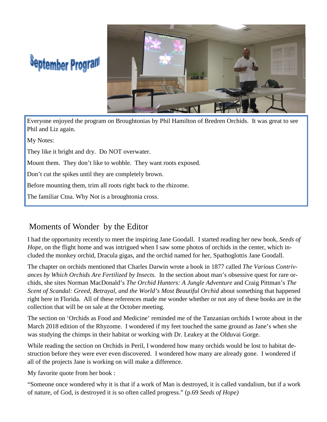# **September Program**



Everyone enjoyed the program on Broughtonias by Phil Hamilton of Bredren Orchids. It was great to see Phil and Liz again.

My Notes:

They like it bright and dry. Do NOT overwater.

Mount them. They don't like to wobble. They want roots exposed.

Don't cut the spikes until they are completely brown.

Before mounting them, trim all roots right back to the rhizome.

The familiar Ctna. Why Not is a broughtonia cross.

### Moments of Wonder by the Editor

I had the opportunity recently to meet the inspiring Jane Goodall. I started reading her new book, *Seeds of Hope*, on the flight home and was intrigued when I saw some photos of orchids in the center, which included the monkey orchid, Dracula gigas, and the orchid named for her, Spathoglottis Jane Goodall.

The chapter on orchids mentioned that Charles Darwin wrote a book in 1877 called *The Various Contrivances by Which Orchids Are Fertilized by Insects.* In the section about man's obsessive quest for rare orchids, she sites Norman MacDonald's *The Orchid Hunters: A Jungle Adventure* and Craig Pittman's *The Scent of Scandal: Greed, Betrayal, and the World's Most Beautiful Orchid* about something that happened right here in Florida. All of these references made me wonder whether or not any of these books are in the collection that will be on sale at the October meeting.

The section on 'Orchids as Food and Medicine' reminded me of the Tanzanian orchids I wrote about in the March 2018 edition of the Rhyzome. I wondered if my feet touched the same ground as Jane's when she was studying the chimps in their habitat or working with Dr. Leakey at the Olduvai Gorge.

While reading the section on Orchids in Peril, I wondered how many orchids would be lost to habitat destruction before they were ever even discovered. I wondered how many are already gone. I wondered if all of the projects Jane is working on will make a difference.

My favorite quote from her book :

"Someone once wondered why it is that if a work of Man is destroyed, it is called vandalism, but if a work of nature, of God, is destroyed it is so often called progress." (p.69 *Seeds of Hope)*